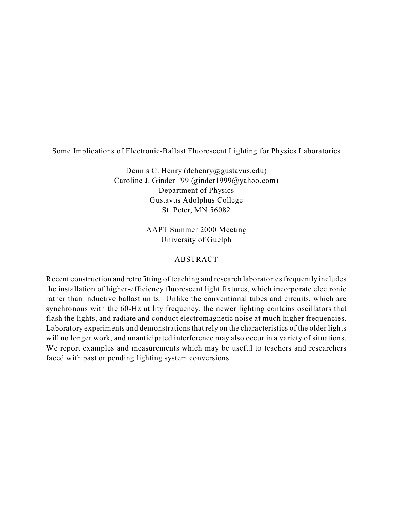## Some Implications of Electronic-Ballast Fluorescent Lighting for Physics Laboratories

Dennis C. Henry (dchenry@gustavus.edu) Caroline J. Ginder '99 (ginder1999@yahoo.com) Department of Physics Gustavus Adolphus College St. Peter, MN 56082

> AAPT Summer 2000 Meeting University of Guelph

# ABSTRACT

Recent construction and retrofitting of teaching and research laboratories frequently includes the installation of higher-efficiency fluorescent light fixtures, which incorporate electronic rather than inductive ballast units. Unlike the conventional tubes and circuits, which are synchronous with the 60-Hz utility frequency, the newer lighting contains oscillators that flash the lights, and radiate and conduct electromagnetic noise at much higher frequencies. Laboratory experiments and demonstrations that rely on the characteristics of the older lights will no longer work, and unanticipated interference may also occur in a variety of situations. We report examples and measurements which may be useful to teachers and researchers faced with past or pending lighting system conversions.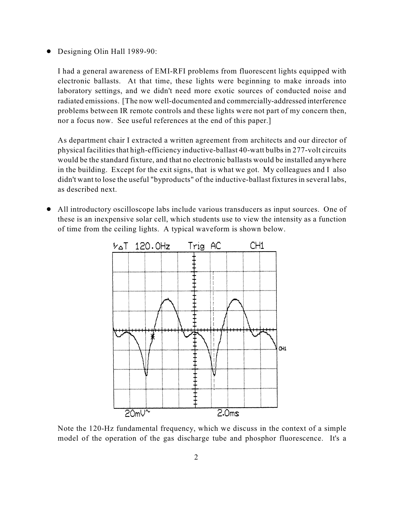• Designing Olin Hall 1989-90:

I had a general awareness of EMI-RFI problems from fluorescent lights equipped with electronic ballasts. At that time, these lights were beginning to make inroads into laboratory settings, and we didn't need more exotic sources of conducted noise and radiated emissions. [The now well-documented and commercially-addressed interference problems between IR remote controls and these lights were not part of my concern then, nor a focus now. See useful references at the end of this paper.]

As department chair I extracted a written agreement from architects and our director of physical facilities that high-efficiency inductive-ballast 40-watt bulbs in 277-volt circuits would be the standard fixture, and that no electronic ballasts would be installed anywhere in the building. Except for the exit signs, that is what we got. My colleagues and I also didn't want to lose the useful "byproducts" of the inductive-ballast fixtures in several labs, as described next.

! All introductory oscilloscope labs include various transducers as input sources. One of these is an inexpensive solar cell, which students use to view the intensity as a function of time from the ceiling lights. A typical waveform is shown below.



Note the 120-Hz fundamental frequency, which we discuss in the context of a simple model of the operation of the gas discharge tube and phosphor fluorescence. It's a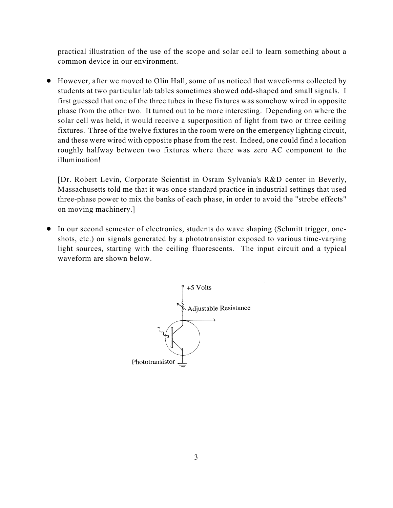practical illustration of the use of the scope and solar cell to learn something about a common device in our environment.

! However, after we moved to Olin Hall, some of us noticed that waveforms collected by students at two particular lab tables sometimes showed odd-shaped and small signals. I first guessed that one of the three tubes in these fixtures was somehow wired in opposite phase from the other two. It turned out to be more interesting. Depending on where the solar cell was held, it would receive a superposition of light from two or three ceiling fixtures. Three of the twelve fixtures in the room were on the emergency lighting circuit, and these were wired with opposite phase from the rest. Indeed, one could find a location roughly halfway between two fixtures where there was zero AC component to the illumination!

[Dr. Robert Levin, Corporate Scientist in Osram Sylvania's R&D center in Beverly, Massachusetts told me that it was once standard practice in industrial settings that used three-phase power to mix the banks of each phase, in order to avoid the "strobe effects" on moving machinery.]

! In our second semester of electronics, students do wave shaping (Schmitt trigger, oneshots, etc.) on signals generated by a phototransistor exposed to various time-varying light sources, starting with the ceiling fluorescents. The input circuit and a typical waveform are shown below.

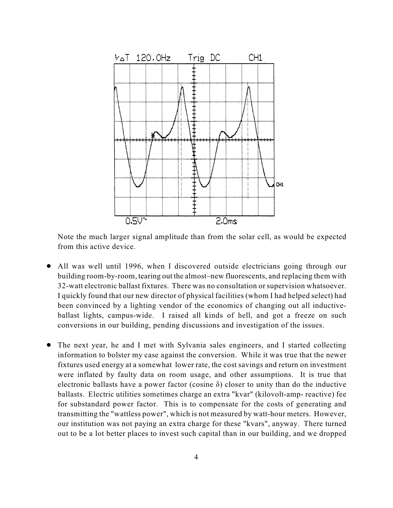

Note the much larger signal amplitude than from the solar cell, as would be expected from this active device.

- ! All was well until 1996, when I discovered outside electricians going through our building room-by-room, tearing out the almost–new fluorescents, and replacing them with 32-watt electronic ballast fixtures. There was no consultation or supervision whatsoever. I quickly found that our new director of physical facilities (whom I had helped select) had been convinced by a lighting vendor of the economics of changing out all inductiveballast lights, campus-wide. I raised all kinds of hell, and got a freeze on such conversions in our building, pending discussions and investigation of the issues.
- ! The next year, he and I met with Sylvania sales engineers, and I started collecting information to bolster my case against the conversion. While it was true that the newer fixtures used energy at a somewhat lower rate, the cost savings and return on investment were inflated by faulty data on room usage, and other assumptions. It is true that electronic ballasts have a power factor (cosine  $\delta$ ) closer to unity than do the inductive ballasts. Electric utilities sometimes charge an extra "kvar" (kilovolt-amp- reactive) fee for substandard power factor. This is to compensate for the costs of generating and transmitting the "wattless power", which is not measured by watt-hour meters. However, our institution was not paying an extra charge for these "kvars", anyway. There turned out to be a lot better places to invest such capital than in our building, and we dropped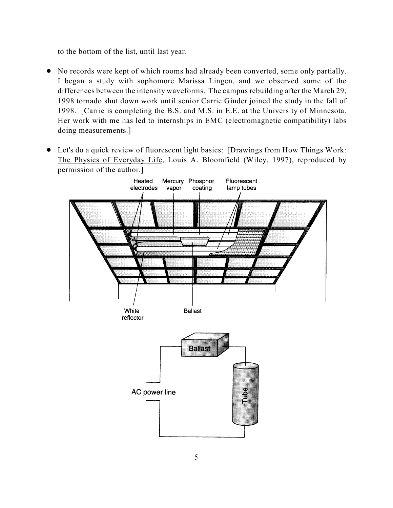to the bottom of the list, until last year.

- ! No records were kept of which rooms had already been converted, some only partially. I began a study with sophomore Marissa Lingen, and we observed some of the differences between the intensity waveforms. The campus rebuilding after the March 29, 1998 tornado shut down work until senior Carrie Ginder joined the study in the fall of 1998. [Carrie is completing the B.S. and M.S. in E.E. at the University of Minnesota. Her work with me has led to internships in EMC (electromagnetic compatibility) labs doing measurements.]
- ! Let's do a quick review of fluorescent light basics: [Drawings from How Things Work: The Physics of Everyday Life, Louis A. Bloomfield (Wiley, 1997), reproduced by permission of the author.]

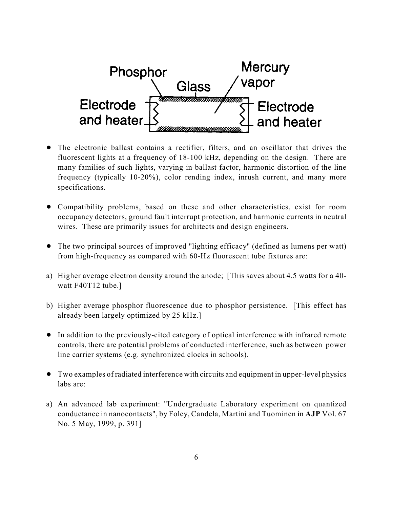

- The electronic ballast contains a rectifier, filters, and an oscillator that drives the fluorescent lights at a frequency of 18-100 kHz, depending on the design. There are many families of such lights, varying in ballast factor, harmonic distortion of the line frequency (typically 10-20%), color rending index, inrush current, and many more specifications.
- ! Compatibility problems, based on these and other characteristics, exist for room occupancy detectors, ground fault interrupt protection, and harmonic currents in neutral wires. These are primarily issues for architects and design engineers.
- ! The two principal sources of improved "lighting efficacy" (defined as lumens per watt) from high-frequency as compared with 60-Hz fluorescent tube fixtures are:
- a) Higher average electron density around the anode; [This saves about 4.5 watts for a 40 watt F40T12 tube.]
- b) Higher average phosphor fluorescence due to phosphor persistence. [This effect has already been largely optimized by 25 kHz.]
- ! In addition to the previously-cited category of optical interference with infrared remote controls, there are potential problems of conducted interference, such as between power line carrier systems (e.g. synchronized clocks in schools).
- ! Two examples of radiated interference with circuits and equipment in upper-level physics labs are:
- a) An advanced lab experiment: "Undergraduate Laboratory experiment on quantized conductance in nanocontacts", by Foley, Candela, Martini and Tuominen in **AJP** Vol. 67 No. 5 May, 1999, p. 391]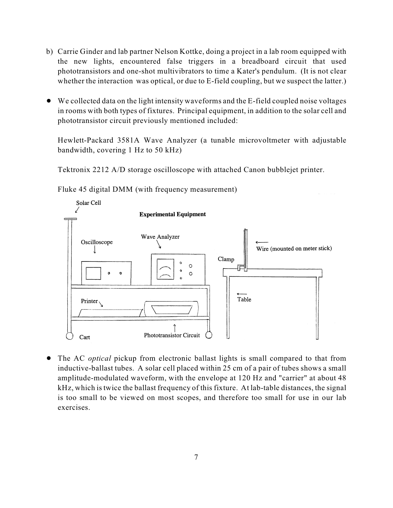- b) Carrie Ginder and lab partner Nelson Kottke, doing a project in a lab room equipped with the new lights, encountered false triggers in a breadboard circuit that used phototransistors and one-shot multivibrators to time a Kater's pendulum. (It is not clear whether the interaction was optical, or due to E-field coupling, but we suspect the latter.)
- ! We collected data on the light intensity waveforms and the E-field coupled noise voltages in rooms with both types of fixtures. Principal equipment, in addition to the solar cell and phototransistor circuit previously mentioned included:

Hewlett-Packard 3581A Wave Analyzer (a tunable microvoltmeter with adjustable bandwidth, covering 1 Hz to 50 kHz)

Tektronix 2212 A/D storage oscilloscope with attached Canon bubblejet printer.

Fluke 45 digital DMM (with frequency measurement)



! The AC *optical* pickup from electronic ballast lights is small compared to that from inductive-ballast tubes. A solar cell placed within 25 cm of a pair of tubes shows a small amplitude-modulated waveform, with the envelope at 120 Hz and "carrier" at about 48 kHz, which is twice the ballast frequency of this fixture. At lab-table distances, the signal is too small to be viewed on most scopes, and therefore too small for use in our lab exercises.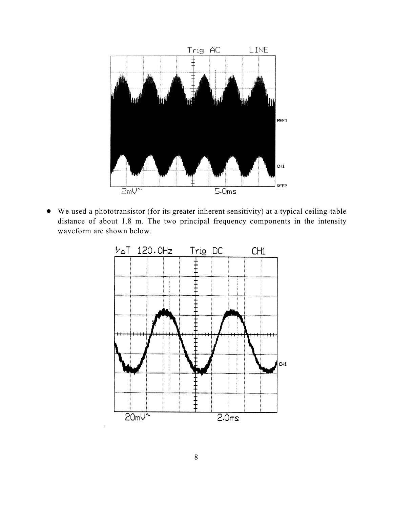

! We used a phototransistor (for its greater inherent sensitivity) at a typical ceiling-table distance of about 1.8 m. The two principal frequency components in the intensity waveform are shown below.

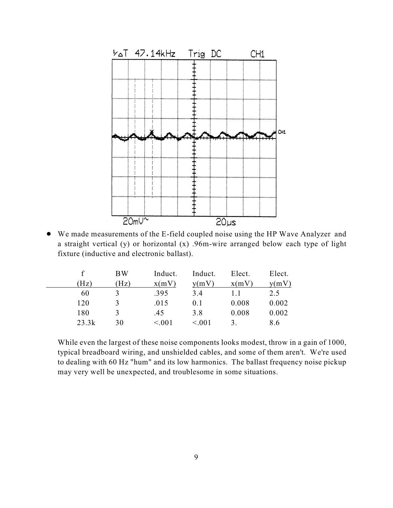

! We made measurements of the E-field coupled noise using the HP Wave Analyzer and a straight vertical (y) or horizontal (x) .96m-wire arranged below each type of light fixture (inductive and electronic ballast).

|       | <b>BW</b> | Induct. | Induct. | Elect. | Elect. |
|-------|-----------|---------|---------|--------|--------|
| (Hz)  | (Hz)      | x(mV)   | y(mV)   | x(mV)  | y(mV)  |
| 60    | 3         | .395    | 3.4     |        | 2.5    |
| 120   | 3         | .015    | 0.1     | 0.008  | 0.002  |
| 180   |           | .45     | 3.8     | 0.008  | 0.002  |
| 23.3k | 30        | < 0.01  | < 0.01  | 3      | 8.6    |

While even the largest of these noise components looks modest, throw in a gain of 1000, typical breadboard wiring, and unshielded cables, and some of them aren't. We're used to dealing with 60 Hz "hum" and its low harmonics. The ballast frequency noise pickup may very well be unexpected, and troublesome in some situations.